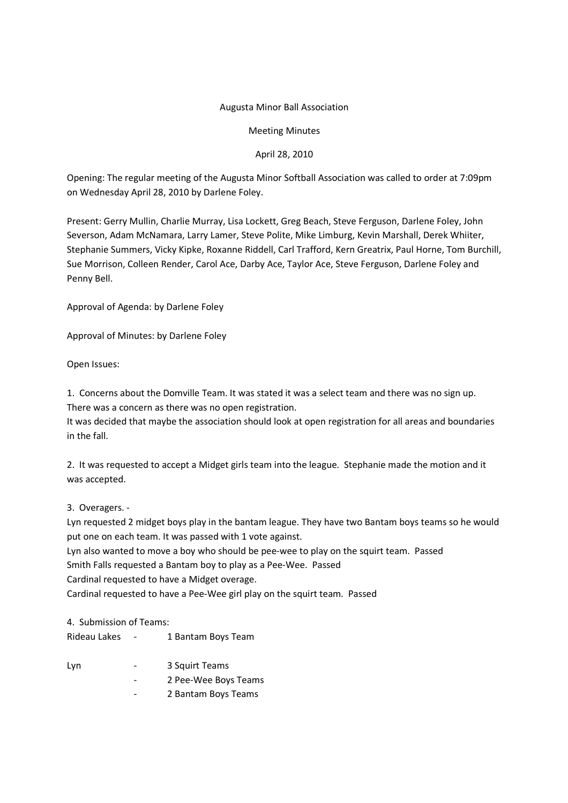## Augusta Minor Ball Association

Meeting Minutes

## April 28, 2010

Opening: The regular meeting of the Augusta Minor Softball Association was called to order at 7:09pm on Wednesday April 28, 2010 by Darlene Foley.

Present: Gerry Mullin, Charlie Murray, Lisa Lockett, Greg Beach, Steve Ferguson, Darlene Foley, John Severson, Adam McNamara, Larry Lamer, Steve Polite, Mike Limburg, Kevin Marshall, Derek Whiiter, Stephanie Summers, Vicky Kipke, Roxanne Riddell, Carl Trafford, Kern Greatrix, Paul Horne, Tom Burchill, Sue Morrison, Colleen Render, Carol Ace, Darby Ace, Taylor Ace, Steve Ferguson, Darlene Foley and Penny Bell.

Approval of Agenda: by Darlene Foley

Approval of Minutes: by Darlene Foley

Open Issues:

1. Concerns about the Domville Team. It was stated it was a select team and there was no sign up. There was a concern as there was no open registration.

It was decided that maybe the association should look at open registration for all areas and boundaries in the fall.

2. It was requested to accept a Midget girls team into the league. Stephanie made the motion and it was accepted.

3. Overagers. -

Lyn requested 2 midget boys play in the bantam league. They have two Bantam boys teams so he would put one on each team. It was passed with 1 vote against.

Lyn also wanted to move a boy who should be pee-wee to play on the squirt team. Passed

Smith Falls requested a Bantam boy to play as a Pee-Wee. Passed

Cardinal requested to have a Midget overage.

Cardinal requested to have a Pee-Wee girl play on the squirt team. Passed

4. Submission of Teams:

| Rideau Lakes | 1 Bantam Boys Team |
|--------------|--------------------|
|              |                    |

| Lyn | 3 Squirt Teams |
|-----|----------------|

- 2 Pee-Wee Boys Teams
- 2 Bantam Boys Teams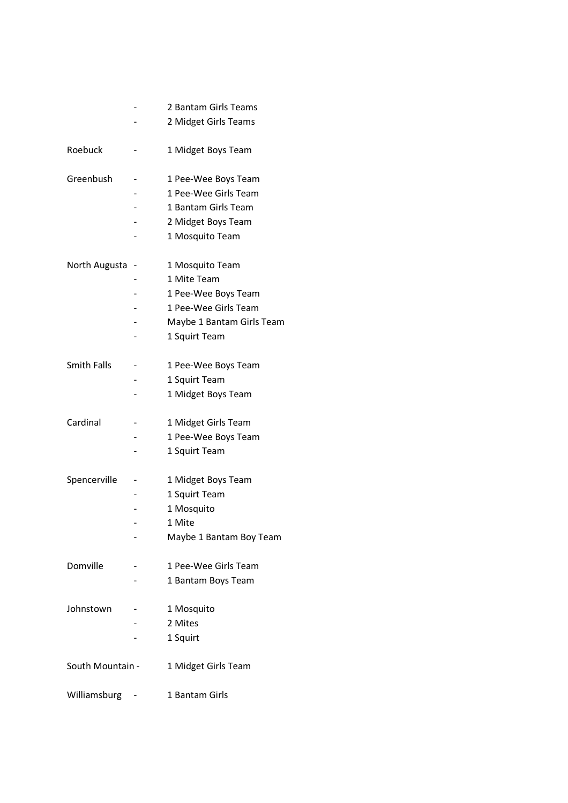|                    |   | 2 Bantam Girls Teams      |
|--------------------|---|---------------------------|
|                    |   | 2 Midget Girls Teams      |
| Roebuck            |   | 1 Midget Boys Team        |
| Greenbush          |   | 1 Pee-Wee Boys Team       |
|                    |   | 1 Pee-Wee Girls Team      |
|                    |   | 1 Bantam Girls Team       |
|                    |   | 2 Midget Boys Team        |
|                    |   | 1 Mosquito Team           |
| North Augusta      | - | 1 Mosquito Team           |
|                    |   | 1 Mite Team               |
|                    |   | 1 Pee-Wee Boys Team       |
|                    |   | 1 Pee-Wee Girls Team      |
|                    |   | Maybe 1 Bantam Girls Team |
|                    |   | 1 Squirt Team             |
| <b>Smith Falls</b> |   | 1 Pee-Wee Boys Team       |
|                    |   | 1 Squirt Team             |
|                    |   | 1 Midget Boys Team        |
| Cardinal           |   | 1 Midget Girls Team       |
|                    |   | 1 Pee-Wee Boys Team       |
|                    |   | 1 Squirt Team             |
| Spencerville       |   | 1 Midget Boys Team        |
|                    |   | 1 Squirt Team             |
|                    |   | 1 Mosquito                |
|                    |   | 1 Mite                    |
|                    |   | Maybe 1 Bantam Boy Team   |
| Domville           |   | 1 Pee-Wee Girls Team      |
|                    |   | 1 Bantam Boys Team        |
| Johnstown          |   | 1 Mosquito                |
|                    |   | 2 Mites                   |
|                    |   | 1 Squirt                  |
| South Mountain -   |   | 1 Midget Girls Team       |
| Williamsburg       |   | 1 Bantam Girls            |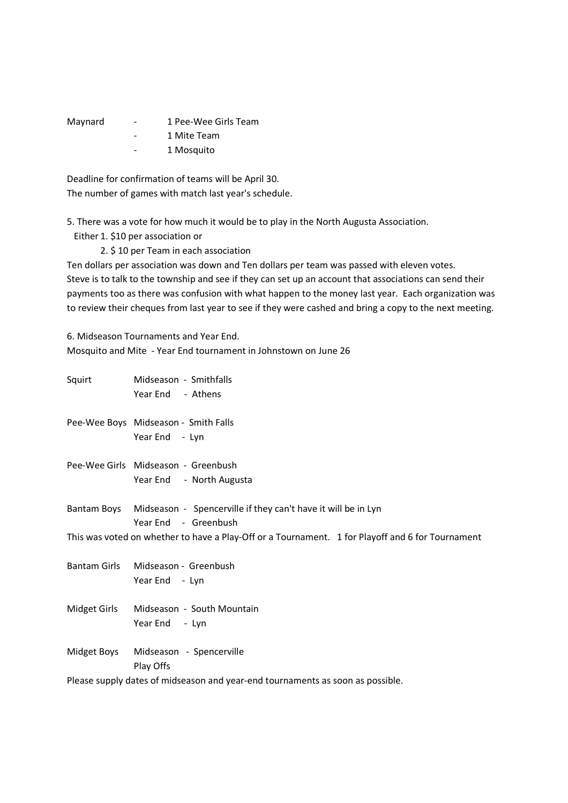| Maynard | $\qquad \qquad$ | 1 Pee-Wee Girls Team |
|---------|-----------------|----------------------|
|         | -               | 1 Mite Team          |
|         | -               | 1 Mosquito           |

Deadline for confirmation of teams will be April 30. The number of games with match last year's schedule.

5. There was a vote for how much it would be to play in the North Augusta Association.

Either 1. \$10 per association or

2. \$ 10 per Team in each association

Ten dollars per association was down and Ten dollars per team was passed with eleven votes. Steve is to talk to the township and see if they can set up an account that associations can send their payments too as there was confusion with what happen to the money last year. Each organization was to review their cheques from last year to see if they were cashed and bring a copy to the next meeting.

6. Midseason Tournaments and Year End. Mosquito and Mite - Year End tournament in Johnstown on June 26

| Squirt      | Midseason - Smithfalls                                                                           |
|-------------|--------------------------------------------------------------------------------------------------|
|             | Year End - Athens                                                                                |
|             | Pee-Wee Boys Midseason - Smith Falls                                                             |
|             | Year End - Lyn                                                                                   |
|             | Pee-Wee Girls Midseason - Greenbush                                                              |
|             | Year End - North Augusta                                                                         |
|             | Bantam Boys Midseason - Spencerville if they can't have it will be in Lyn                        |
|             | Year End - Greenbush                                                                             |
|             | This was voted on whether to have a Play-Off or a Tournament. 1 for Playoff and 6 for Tournament |
|             | Bantam Girls Midseason - Greenbush                                                               |
|             | Year End - Lyn                                                                                   |
|             | Midget Girls Midseason - South Mountain                                                          |
|             | Year End - Lyn                                                                                   |
| Midget Boys | Midseason - Spencerville                                                                         |
|             | Play Offs                                                                                        |
|             | Please supply dates of midseason and year-end tournaments as soon as possible.                   |